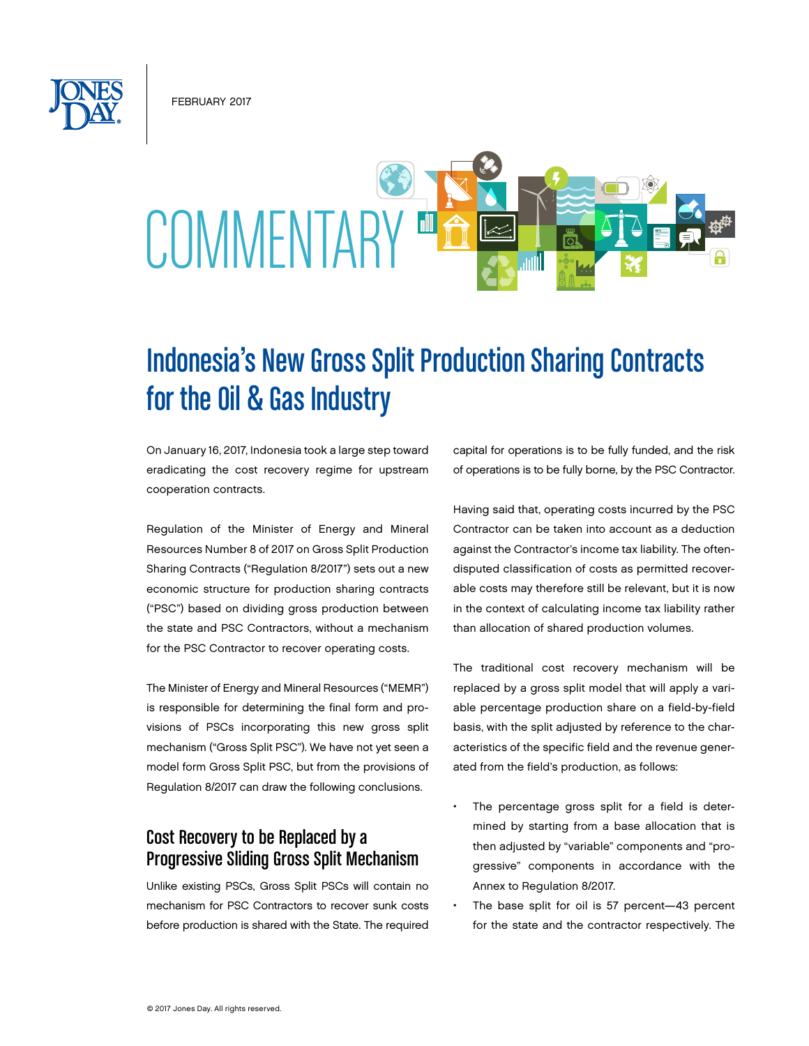February 2017

# COMMENTAE

# Indonesia's New Gross Split Production Sharing Contracts for the Oil & Gas Industry

On January 16, 2017, Indonesia took a large step toward eradicating the cost recovery regime for upstream cooperation contracts.

Regulation of the Minister of Energy and Mineral Resources Number 8 of 2017 on Gross Split Production Sharing Contracts ("Regulation 8/2017") sets out a new economic structure for production sharing contracts ("PSC") based on dividing gross production between the state and PSC Contractors, without a mechanism for the PSC Contractor to recover operating costs.

The Minister of Energy and Mineral Resources ("MEMR") is responsible for determining the final form and provisions of PSCs incorporating this new gross split mechanism ("Gross Split PSC"). We have not yet seen a model form Gross Split PSC, but from the provisions of Regulation 8/2017 can draw the following conclusions.

# Cost Recovery to be Replaced by a Progressive Sliding Gross Split Mechanism

Unlike existing PSCs, Gross Split PSCs will contain no mechanism for PSC Contractors to recover sunk costs before production is shared with the State. The required capital for operations is to be fully funded, and the risk of operations is to be fully borne, by the PSC Contractor.

Having said that, operating costs incurred by the PSC Contractor can be taken into account as a deduction against the Contractor's income tax liability. The oftendisputed classification of costs as permitted recoverable costs may therefore still be relevant, but it is now in the context of calculating income tax liability rather than allocation of shared production volumes.

The traditional cost recovery mechanism will be replaced by a gross split model that will apply a variable percentage production share on a field-by-field basis, with the split adjusted by reference to the characteristics of the specific field and the revenue generated from the field's production, as follows:

- The percentage gross split for a field is determined by starting from a base allocation that is then adjusted by "variable" components and "progressive" components in accordance with the Annex to Regulation 8/2017.
- The base split for oil is 57 percent-43 percent for the state and the contractor respectively. The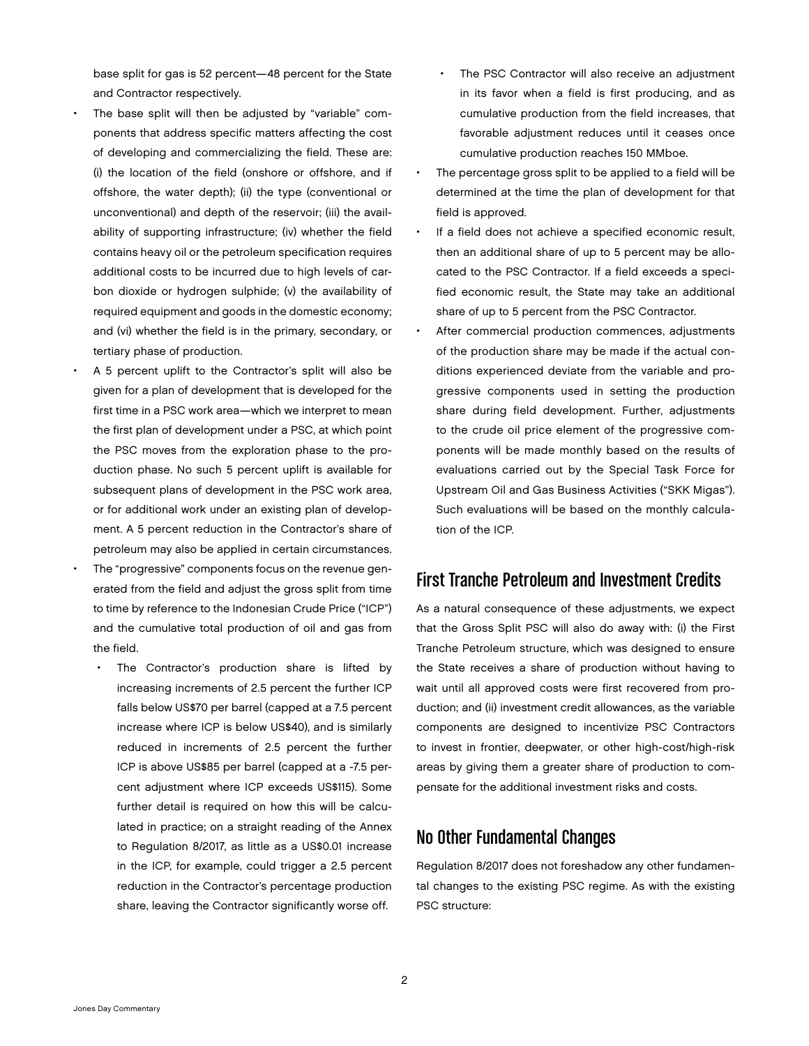base split for gas is 52 percent—48 percent for the State and Contractor respectively.

- The base split will then be adjusted by "variable" components that address specific matters affecting the cost of developing and commercializing the field. These are: (i) the location of the field (onshore or offshore, and if offshore, the water depth); (ii) the type (conventional or unconventional) and depth of the reservoir; (iii) the availability of supporting infrastructure; (iv) whether the field contains heavy oil or the petroleum specification requires additional costs to be incurred due to high levels of carbon dioxide or hydrogen sulphide; (v) the availability of required equipment and goods in the domestic economy; and (vi) whether the field is in the primary, secondary, or tertiary phase of production.
- A 5 percent uplift to the Contractor's split will also be given for a plan of development that is developed for the first time in a PSC work area—which we interpret to mean the first plan of development under a PSC, at which point the PSC moves from the exploration phase to the production phase. No such 5 percent uplift is available for subsequent plans of development in the PSC work area, or for additional work under an existing plan of development. A 5 percent reduction in the Contractor's share of petroleum may also be applied in certain circumstances.
- The "progressive" components focus on the revenue generated from the field and adjust the gross split from time to time by reference to the Indonesian Crude Price ("ICP") and the cumulative total production of oil and gas from the field.
	- The Contractor's production share is lifted by increasing increments of 2.5 percent the further ICP falls below US\$70 per barrel (capped at a 7.5 percent increase where ICP is below US\$40), and is similarly reduced in increments of 2.5 percent the further ICP is above US\$85 per barrel (capped at a -7.5 percent adjustment where ICP exceeds US\$115). Some further detail is required on how this will be calculated in practice; on a straight reading of the Annex to Regulation 8/2017, as little as a US\$0.01 increase in the ICP, for example, could trigger a 2.5 percent reduction in the Contractor's percentage production share, leaving the Contractor significantly worse off.
- The PSC Contractor will also receive an adjustment in its favor when a field is first producing, and as cumulative production from the field increases, that favorable adjustment reduces until it ceases once cumulative production reaches 150 MMboe.
- The percentage gross split to be applied to a field will be determined at the time the plan of development for that field is approved.
- If a field does not achieve a specified economic result, then an additional share of up to 5 percent may be allocated to the PSC Contractor. If a field exceeds a specified economic result, the State may take an additional share of up to 5 percent from the PSC Contractor.
- After commercial production commences, adjustments of the production share may be made if the actual conditions experienced deviate from the variable and progressive components used in setting the production share during field development. Further, adjustments to the crude oil price element of the progressive components will be made monthly based on the results of evaluations carried out by the Special Task Force for Upstream Oil and Gas Business Activities ("SKK Migas"). Such evaluations will be based on the monthly calculation of the ICP.

## First Tranche Petroleum and Investment Credits

As a natural consequence of these adjustments, we expect that the Gross Split PSC will also do away with: (i) the First Tranche Petroleum structure, which was designed to ensure the State receives a share of production without having to wait until all approved costs were first recovered from production; and (ii) investment credit allowances, as the variable components are designed to incentivize PSC Contractors to invest in frontier, deepwater, or other high-cost/high-risk areas by giving them a greater share of production to compensate for the additional investment risks and costs.

# No Other Fundamental Changes

Regulation 8/2017 does not foreshadow any other fundamental changes to the existing PSC regime. As with the existing PSC structure: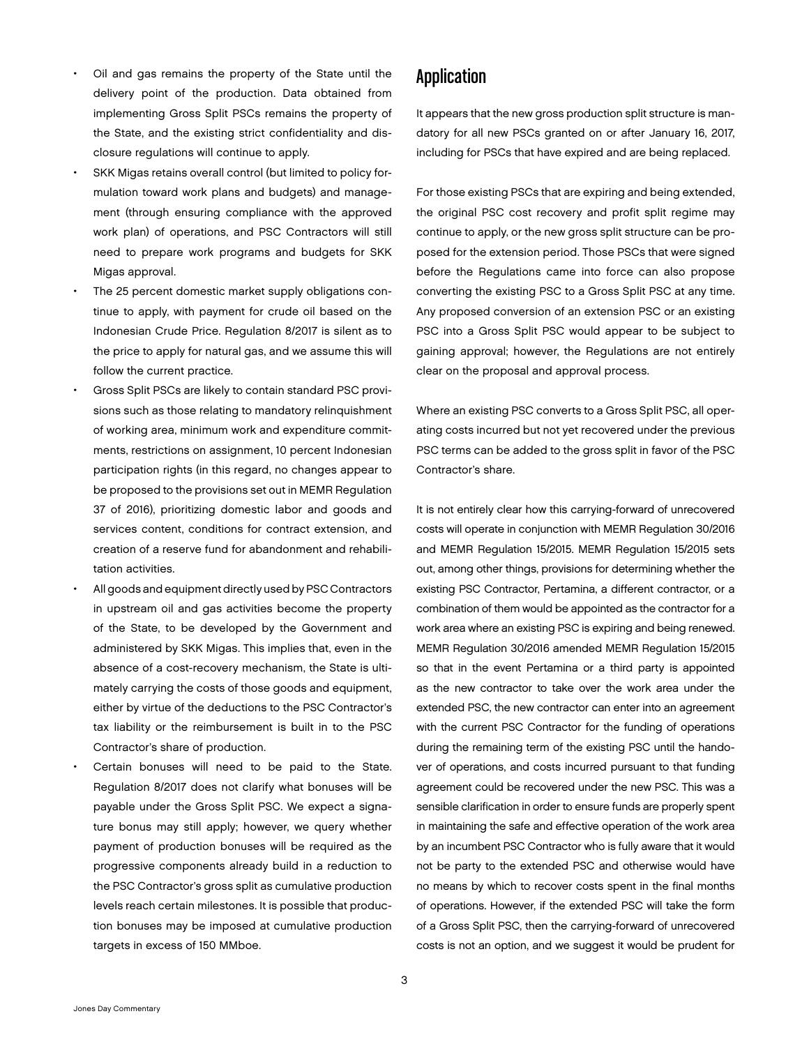- Oil and gas remains the property of the State until the delivery point of the production. Data obtained from implementing Gross Split PSCs remains the property of the State, and the existing strict confidentiality and disclosure regulations will continue to apply.
- SKK Migas retains overall control (but limited to policy formulation toward work plans and budgets) and management (through ensuring compliance with the approved work plan) of operations, and PSC Contractors will still need to prepare work programs and budgets for SKK Migas approval.
- The 25 percent domestic market supply obligations continue to apply, with payment for crude oil based on the Indonesian Crude Price. Regulation 8/2017 is silent as to the price to apply for natural gas, and we assume this will follow the current practice.
- Gross Split PSCs are likely to contain standard PSC provisions such as those relating to mandatory relinquishment of working area, minimum work and expenditure commitments, restrictions on assignment, 10 percent Indonesian participation rights (in this regard, no changes appear to be proposed to the provisions set out in MEMR Regulation 37 of 2016), prioritizing domestic labor and goods and services content, conditions for contract extension, and creation of a reserve fund for abandonment and rehabilitation activities.
- All goods and equipment directly used by PSC Contractors in upstream oil and gas activities become the property of the State, to be developed by the Government and administered by SKK Migas. This implies that, even in the absence of a cost-recovery mechanism, the State is ultimately carrying the costs of those goods and equipment, either by virtue of the deductions to the PSC Contractor's tax liability or the reimbursement is built in to the PSC Contractor's share of production.
- Certain bonuses will need to be paid to the State. Regulation 8/2017 does not clarify what bonuses will be payable under the Gross Split PSC. We expect a signature bonus may still apply; however, we query whether payment of production bonuses will be required as the progressive components already build in a reduction to the PSC Contractor's gross split as cumulative production levels reach certain milestones. It is possible that production bonuses may be imposed at cumulative production targets in excess of 150 MMboe.

#### Application

It appears that the new gross production split structure is mandatory for all new PSCs granted on or after January 16, 2017, including for PSCs that have expired and are being replaced.

For those existing PSCs that are expiring and being extended, the original PSC cost recovery and profit split regime may continue to apply, or the new gross split structure can be proposed for the extension period. Those PSCs that were signed before the Regulations came into force can also propose converting the existing PSC to a Gross Split PSC at any time. Any proposed conversion of an extension PSC or an existing PSC into a Gross Split PSC would appear to be subject to gaining approval; however, the Regulations are not entirely clear on the proposal and approval process.

Where an existing PSC converts to a Gross Split PSC, all operating costs incurred but not yet recovered under the previous PSC terms can be added to the gross split in favor of the PSC Contractor's share.

It is not entirely clear how this carrying-forward of unrecovered costs will operate in conjunction with MEMR Regulation 30/2016 and MEMR Regulation 15/2015. MEMR Regulation 15/2015 sets out, among other things, provisions for determining whether the existing PSC Contractor, Pertamina, a different contractor, or a combination of them would be appointed as the contractor for a work area where an existing PSC is expiring and being renewed. MEMR Regulation 30/2016 amended MEMR Regulation 15/2015 so that in the event Pertamina or a third party is appointed as the new contractor to take over the work area under the extended PSC, the new contractor can enter into an agreement with the current PSC Contractor for the funding of operations during the remaining term of the existing PSC until the handover of operations, and costs incurred pursuant to that funding agreement could be recovered under the new PSC. This was a sensible clarification in order to ensure funds are properly spent in maintaining the safe and effective operation of the work area by an incumbent PSC Contractor who is fully aware that it would not be party to the extended PSC and otherwise would have no means by which to recover costs spent in the final months of operations. However, if the extended PSC will take the form of a Gross Split PSC, then the carrying-forward of unrecovered costs is not an option, and we suggest it would be prudent for